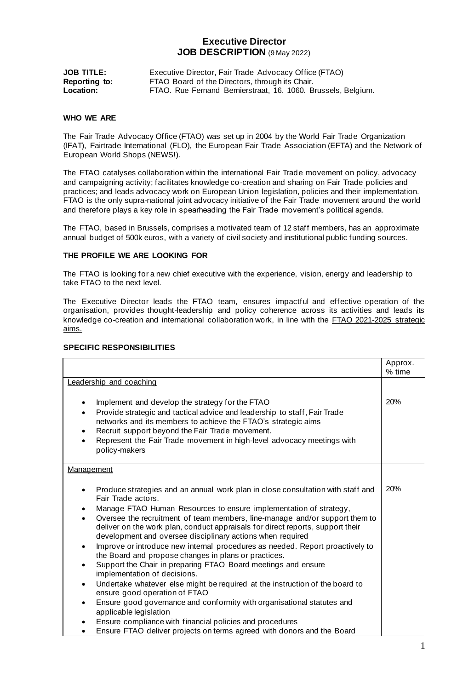# **Executive Director JOB DESCRIPTION** (9 May 2022)

| <b>JOB TITLE:</b>    | Executive Director, Fair Trade Advocacy Office (FTAO)         |
|----------------------|---------------------------------------------------------------|
| <b>Reporting to:</b> | FTAO Board of the Directors, through its Chair.               |
| Location:            | FTAO. Rue Fernand Bernierstraat, 16. 1060. Brussels, Belgium. |

#### **WHO WE ARE**

The Fair Trade Advocacy Office (FTAO) was set up in 2004 by the World Fair Trade Organization (IFAT), Fairtrade International (FLO), the European Fair Trade Association (EFTA) and the Network of European World Shops (NEWS!).

The FTAO catalyses collaboration within the international Fair Trade movement on policy, advocacy and campaigning activity; facilitates knowledge co-creation and sharing on Fair Trade policies and practices; and leads advocacy work on European Union legislation, policies and their implementation. FTAO is the only supra-national joint advocacy initiative of the Fair Trade movement around the world and therefore plays a key role in spearheading the Fair Trade movement's political agenda.

The FTAO, based in Brussels, comprises a motivated team of 12 staff members, has an approximate annual budget of 500k euros, with a variety of civil society and institutional public funding sources.

# **THE PROFILE WE ARE LOOKING FOR**

The FTAO is looking for a new chief executive with the experience, vision, energy and leadership to take FTAO to the next level.

The Executive Director leads the FTAO team, ensures impactful and effective operation of the organisation, provides thought-leadership and policy coherence across its activities and leads its knowledge co-creation and international collaboration work, in line with th[e FTAO 2021-2025 strategic](https://fairtrade-advocacy.org/what-we-do/)  [aims.](https://fairtrade-advocacy.org/what-we-do/) 

# **SPECIFIC RESPONSIBILITIES**

|                                                                                                                                                                                                                                                                                                                                                                                         | Approx.<br>% time |
|-----------------------------------------------------------------------------------------------------------------------------------------------------------------------------------------------------------------------------------------------------------------------------------------------------------------------------------------------------------------------------------------|-------------------|
| Leadership and coaching                                                                                                                                                                                                                                                                                                                                                                 |                   |
| Implement and develop the strategy for the FTAO<br>$\bullet$<br>Provide strategic and tactical advice and leadership to staff, Fair Trade<br>$\bullet$<br>networks and its members to achieve the FTAO's strategic aims<br>Recruit support beyond the Fair Trade movement.<br>٠<br>Represent the Fair Trade movement in high-level advocacy meetings with<br>$\bullet$<br>policy-makers | 20%               |
| <b>Management</b>                                                                                                                                                                                                                                                                                                                                                                       |                   |
| Produce strategies and an annual work plan in close consultation with staff and<br>Fair Trade actors.                                                                                                                                                                                                                                                                                   | 20%               |
| Manage FTAO Human Resources to ensure implementation of strategy,<br>$\bullet$<br>Oversee the recruitment of team members, line-manage and/or support them to<br>$\bullet$<br>deliver on the work plan, conduct appraisals for direct reports, support their<br>development and oversee disciplinary actions when required                                                              |                   |
| Improve or introduce new internal procedures as needed. Report proactively to<br>$\bullet$<br>the Board and propose changes in plans or practices.                                                                                                                                                                                                                                      |                   |
| Support the Chair in preparing FTAO Board meetings and ensure<br>$\bullet$<br>implementation of decisions.                                                                                                                                                                                                                                                                              |                   |
| Undertake whatever else might be required at the instruction of the board to<br>$\bullet$<br>ensure good operation of FTAO                                                                                                                                                                                                                                                              |                   |
| Ensure good governance and conformity with organisational statutes and<br>$\bullet$<br>applicable legislation                                                                                                                                                                                                                                                                           |                   |
| Ensure compliance with financial policies and procedures<br>٠                                                                                                                                                                                                                                                                                                                           |                   |
| Ensure FTAO deliver projects on terms agreed with donors and the Board<br>$\bullet$                                                                                                                                                                                                                                                                                                     |                   |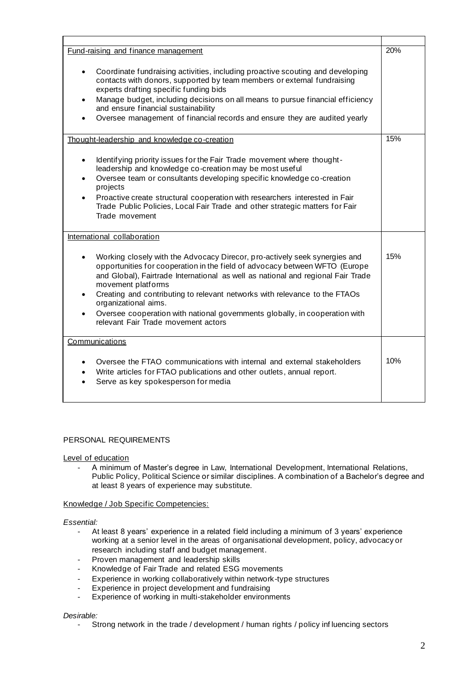| Fund-raising and finance management                                                                                                                                                                                                                                                                                                                                                                                                                                                                          |     |
|--------------------------------------------------------------------------------------------------------------------------------------------------------------------------------------------------------------------------------------------------------------------------------------------------------------------------------------------------------------------------------------------------------------------------------------------------------------------------------------------------------------|-----|
| Coordinate fundraising activities, including proactive scouting and developing<br>$\bullet$<br>contacts with donors, supported by team members or external fundraising<br>experts drafting specific funding bids<br>Manage budget, including decisions on all means to pursue financial efficiency<br>$\bullet$<br>and ensure financial sustainability<br>Oversee management of financial records and ensure they are audited yearly                                                                         |     |
| Thought-leadership and knowledge co-creation                                                                                                                                                                                                                                                                                                                                                                                                                                                                 |     |
| Identifying priority issues for the Fair Trade movement where thought-<br>$\bullet$<br>leadership and knowledge co-creation may be most useful<br>Oversee team or consultants developing specific knowledge co-creation<br>$\bullet$<br>projects<br>Proactive create structural cooperation with researchers interested in Fair<br>$\bullet$<br>Trade Public Policies, Local Fair Trade and other strategic matters for Fair<br>Trade movement                                                               |     |
| International collaboration                                                                                                                                                                                                                                                                                                                                                                                                                                                                                  |     |
| Working closely with the Advocacy Direcor, pro-actively seek synergies and<br>opportunities for cooperation in the field of advocacy between WFTO (Europe<br>and Global), Fairtrade International as well as national and regional Fair Trade<br>movement platforms<br>Creating and contributing to relevant networks with relevance to the FTAOs<br>organizational aims.<br>Oversee cooperation with national governments globally, in cooperation with<br>$\bullet$<br>relevant Fair Trade movement actors | 15% |
| Communications                                                                                                                                                                                                                                                                                                                                                                                                                                                                                               |     |
| Oversee the FTAO communications with internal and external stakeholders<br>Write articles for FTAO publications and other outlets, annual report.<br>$\bullet$<br>Serve as key spokesperson for media                                                                                                                                                                                                                                                                                                        |     |

# PERSONAL REQUIREMENTS

Level of education

A minimum of Master's degree in Law, International Development, International Relations, Public Policy, Political Science or similar disciplines. A combination of a Bachelor's degree and at least 8 years of experience may substitute.

# Knowledge / Job Specific Competencies:

#### *Essential:*

- At least 8 years' experience in a related field including a minimum of 3 years' experience working at a senior level in the areas of organisational development, policy, advocacy or research including staff and budget management.
- Proven management and leadership skills
- Knowledge of Fair Trade and related ESG movements
- Experience in working collaboratively within network-type structures
- Experience in project development and fundraising
- Experience of working in multi-stakeholder environments

# *Desirable:*

- Strong network in the trade / development / human rights / policy inf luencing sectors